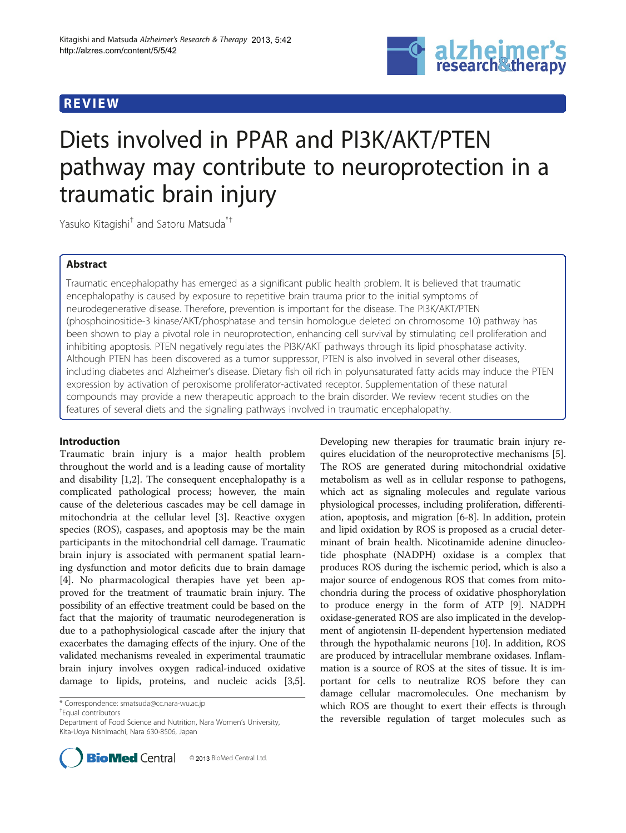## REVIEW



# Diets involved in PPAR and PI3K/AKT/PTEN pathway may contribute to neuroprotection in a traumatic brain injury

Yasuko Kitagishi† and Satoru Matsuda\*†

## Abstract

Traumatic encephalopathy has emerged as a significant public health problem. It is believed that traumatic encephalopathy is caused by exposure to repetitive brain trauma prior to the initial symptoms of neurodegenerative disease. Therefore, prevention is important for the disease. The PI3K/AKT/PTEN (phosphoinositide-3 kinase/AKT/phosphatase and tensin homologue deleted on chromosome 10) pathway has been shown to play a pivotal role in neuroprotection, enhancing cell survival by stimulating cell proliferation and inhibiting apoptosis. PTEN negatively regulates the PI3K/AKT pathways through its lipid phosphatase activity. Although PTEN has been discovered as a tumor suppressor, PTEN is also involved in several other diseases, including diabetes and Alzheimer's disease. Dietary fish oil rich in polyunsaturated fatty acids may induce the PTEN expression by activation of peroxisome proliferator-activated receptor. Supplementation of these natural compounds may provide a new therapeutic approach to the brain disorder. We review recent studies on the features of several diets and the signaling pathways involved in traumatic encephalopathy.

## Introduction

Traumatic brain injury is a major health problem throughout the world and is a leading cause of mortality and disability [\[1,2](#page-5-0)]. The consequent encephalopathy is a complicated pathological process; however, the main cause of the deleterious cascades may be cell damage in mitochondria at the cellular level [[3\]](#page-5-0). Reactive oxygen species (ROS), caspases, and apoptosis may be the main participants in the mitochondrial cell damage. Traumatic brain injury is associated with permanent spatial learning dysfunction and motor deficits due to brain damage [[4\]](#page-5-0). No pharmacological therapies have yet been approved for the treatment of traumatic brain injury. The possibility of an effective treatment could be based on the fact that the majority of traumatic neurodegeneration is due to a pathophysiological cascade after the injury that exacerbates the damaging effects of the injury. One of the validated mechanisms revealed in experimental traumatic brain injury involves oxygen radical-induced oxidative damage to lipids, proteins, and nucleic acids [[3](#page-5-0),[5](#page-5-0)].

Equal contributors

Department of Food Science and Nutrition, Nara Women's University, Kita-Uoya Nishimachi, Nara 630-8506, Japan



Developing new therapies for traumatic brain injury requires elucidation of the neuroprotective mechanisms [[5](#page-5-0)]. The ROS are generated during mitochondrial oxidative metabolism as well as in cellular response to pathogens, which act as signaling molecules and regulate various physiological processes, including proliferation, differentiation, apoptosis, and migration [\[6](#page-5-0)-[8\]](#page-5-0). In addition, protein and lipid oxidation by ROS is proposed as a crucial determinant of brain health. Nicotinamide adenine dinucleotide phosphate (NADPH) oxidase is a complex that produces ROS during the ischemic period, which is also a major source of endogenous ROS that comes from mitochondria during the process of oxidative phosphorylation to produce energy in the form of ATP [\[9](#page-5-0)]. NADPH oxidase-generated ROS are also implicated in the development of angiotensin II-dependent hypertension mediated through the hypothalamic neurons [[10\]](#page-5-0). In addition, ROS are produced by intracellular membrane oxidases. Inflammation is a source of ROS at the sites of tissue. It is important for cells to neutralize ROS before they can damage cellular macromolecules. One mechanism by which ROS are thought to exert their effects is through the reversible regulation of target molecules such as

<sup>\*</sup> Correspondence: [smatsuda@cc.nara-wu.ac.jp](mailto:smatsuda@cc.nara-wu.ac.jp) †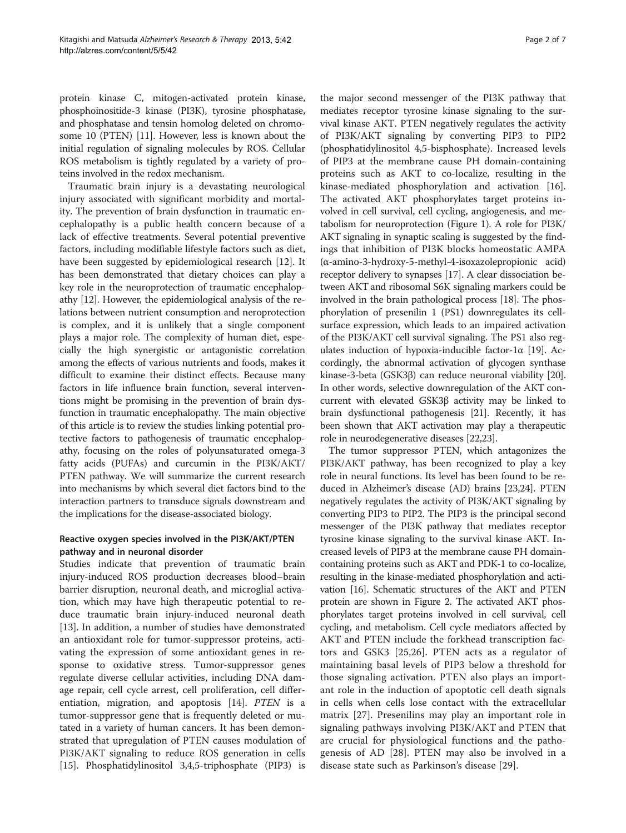protein kinase C, mitogen-activated protein kinase, phosphoinositide-3 kinase (PI3K), tyrosine phosphatase, and phosphatase and tensin homolog deleted on chromosome 10 (PTEN) [[11\]](#page-5-0). However, less is known about the initial regulation of signaling molecules by ROS. Cellular ROS metabolism is tightly regulated by a variety of proteins involved in the redox mechanism.

Traumatic brain injury is a devastating neurological injury associated with significant morbidity and mortality. The prevention of brain dysfunction in traumatic encephalopathy is a public health concern because of a lack of effective treatments. Several potential preventive factors, including modifiable lifestyle factors such as diet, have been suggested by epidemiological research [\[12](#page-5-0)]. It has been demonstrated that dietary choices can play a key role in the neuroprotection of traumatic encephalopathy [[12](#page-5-0)]. However, the epidemiological analysis of the relations between nutrient consumption and neroprotection is complex, and it is unlikely that a single component plays a major role. The complexity of human diet, especially the high synergistic or antagonistic correlation among the effects of various nutrients and foods, makes it difficult to examine their distinct effects. Because many factors in life influence brain function, several interventions might be promising in the prevention of brain dysfunction in traumatic encephalopathy. The main objective of this article is to review the studies linking potential protective factors to pathogenesis of traumatic encephalopathy, focusing on the roles of polyunsaturated omega-3 fatty acids (PUFAs) and curcumin in the PI3K/AKT/ PTEN pathway. We will summarize the current research into mechanisms by which several diet factors bind to the interaction partners to transduce signals downstream and the implications for the disease-associated biology.

## Reactive oxygen species involved in the PI3K/AKT/PTEN pathway and in neuronal disorder

Studies indicate that prevention of traumatic brain injury-induced ROS production decreases blood–brain barrier disruption, neuronal death, and microglial activation, which may have high therapeutic potential to reduce traumatic brain injury-induced neuronal death [[13\]](#page-5-0). In addition, a number of studies have demonstrated an antioxidant role for tumor-suppressor proteins, activating the expression of some antioxidant genes in response to oxidative stress. Tumor-suppressor genes regulate diverse cellular activities, including DNA damage repair, cell cycle arrest, cell proliferation, cell differentiation, migration, and apoptosis [\[14\]](#page-5-0). PTEN is a tumor-suppressor gene that is frequently deleted or mutated in a variety of human cancers. It has been demonstrated that upregulation of PTEN causes modulation of PI3K/AKT signaling to reduce ROS generation in cells [[15\]](#page-5-0). Phosphatidylinositol 3,4,5-triphosphate (PIP3) is

the major second messenger of the PI3K pathway that mediates receptor tyrosine kinase signaling to the survival kinase AKT. PTEN negatively regulates the activity of PI3K/AKT signaling by converting PIP3 to PIP2 (phosphatidylinositol 4,5-bisphosphate). Increased levels of PIP3 at the membrane cause PH domain-containing proteins such as AKT to co-localize, resulting in the kinase-mediated phosphorylation and activation [\[16](#page-5-0)]. The activated AKT phosphorylates target proteins involved in cell survival, cell cycling, angiogenesis, and metabolism for neuroprotection (Figure [1](#page-2-0)). A role for PI3K/ AKT signaling in synaptic scaling is suggested by the findings that inhibition of PI3K blocks homeostatic AMPA (α-amino-3-hydroxy-5-methyl-4-isoxazolepropionic acid) receptor delivery to synapses [\[17](#page-5-0)]. A clear dissociation between AKT and ribosomal S6K signaling markers could be involved in the brain pathological process [\[18\]](#page-5-0). The phosphorylation of presenilin 1 (PS1) downregulates its cellsurface expression, which leads to an impaired activation of the PI3K/AKT cell survival signaling. The PS1 also regulates induction of hypoxia-inducible factor-1 $\alpha$  [\[19\]](#page-5-0). Accordingly, the abnormal activation of glycogen synthase kinase-3-beta (GSK3β) can reduce neuronal viability [[20](#page-5-0)]. In other words, selective downregulation of the AKT concurrent with elevated GSK3β activity may be linked to brain dysfunctional pathogenesis [[21\]](#page-5-0). Recently, it has been shown that AKT activation may play a therapeutic role in neurodegenerative diseases [[22,23](#page-5-0)].

The tumor suppressor PTEN, which antagonizes the PI3K/AKT pathway, has been recognized to play a key role in neural functions. Its level has been found to be reduced in Alzheimer's disease (AD) brains [\[23,24\]](#page-5-0). PTEN negatively regulates the activity of PI3K/AKT signaling by converting PIP3 to PIP2. The PIP3 is the principal second messenger of the PI3K pathway that mediates receptor tyrosine kinase signaling to the survival kinase AKT. Increased levels of PIP3 at the membrane cause PH domaincontaining proteins such as AKT and PDK-1 to co-localize, resulting in the kinase-mediated phosphorylation and activation [\[16\]](#page-5-0). Schematic structures of the AKT and PTEN protein are shown in Figure [2](#page-3-0). The activated AKT phosphorylates target proteins involved in cell survival, cell cycling, and metabolism. Cell cycle mediators affected by AKT and PTEN include the forkhead transcription factors and GSK3 [[25,26](#page-5-0)]. PTEN acts as a regulator of maintaining basal levels of PIP3 below a threshold for those signaling activation. PTEN also plays an important role in the induction of apoptotic cell death signals in cells when cells lose contact with the extracellular matrix [\[27](#page-5-0)]. Presenilins may play an important role in signaling pathways involving PI3K/AKT and PTEN that are crucial for physiological functions and the pathogenesis of AD [[28](#page-5-0)]. PTEN may also be involved in a disease state such as Parkinson's disease [[29](#page-5-0)].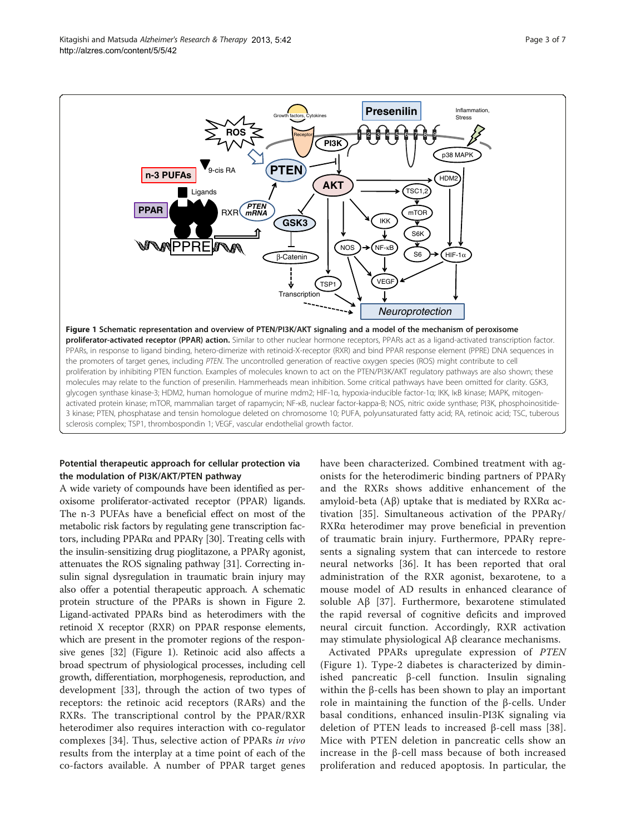<span id="page-2-0"></span>

## Potential therapeutic approach for cellular protection via the modulation of PI3K/AKT/PTEN pathway

A wide variety of compounds have been identified as peroxisome proliferator-activated receptor (PPAR) ligands. The n-3 PUFAs have a beneficial effect on most of the metabolic risk factors by regulating gene transcription factors, including PPARα and PPARγ [\[30\]](#page-5-0). Treating cells with the insulin-sensitizing drug pioglitazone, a PPARγ agonist, attenuates the ROS signaling pathway [\[31\]](#page-5-0). Correcting insulin signal dysregulation in traumatic brain injury may also offer a potential therapeutic approach. A schematic protein structure of the PPARs is shown in Figure [2](#page-3-0). Ligand-activated PPARs bind as heterodimers with the retinoid X receptor (RXR) on PPAR response elements, which are present in the promoter regions of the responsive genes [[32](#page-5-0)] (Figure 1). Retinoic acid also affects a broad spectrum of physiological processes, including cell growth, differentiation, morphogenesis, reproduction, and development [\[33](#page-5-0)], through the action of two types of receptors: the retinoic acid receptors (RARs) and the RXRs. The transcriptional control by the PPAR/RXR heterodimer also requires interaction with co-regulator complexes [[34\]](#page-5-0). Thus, selective action of PPARs in vivo results from the interplay at a time point of each of the co-factors available. A number of PPAR target genes have been characterized. Combined treatment with agonists for the heterodimeric binding partners of PPARγ and the RXRs shows additive enhancement of the amyloid-beta (Aβ) uptake that is mediated by RXRα activation [[35](#page-5-0)]. Simultaneous activation of the PPARγ/ RXRα heterodimer may prove beneficial in prevention of traumatic brain injury. Furthermore, PPARγ represents a signaling system that can intercede to restore neural networks [[36](#page-5-0)]. It has been reported that oral administration of the RXR agonist, bexarotene, to a mouse model of AD results in enhanced clearance of soluble Aβ [\[37](#page-5-0)]. Furthermore, bexarotene stimulated the rapid reversal of cognitive deficits and improved neural circuit function. Accordingly, RXR activation may stimulate physiological Aβ clearance mechanisms.

Activated PPARs upregulate expression of PTEN (Figure 1). Type-2 diabetes is characterized by diminished pancreatic β-cell function. Insulin signaling within the β-cells has been shown to play an important role in maintaining the function of the β-cells. Under basal conditions, enhanced insulin-PI3K signaling via deletion of PTEN leads to increased β-cell mass [[38](#page-5-0)]. Mice with PTEN deletion in pancreatic cells show an increase in the β-cell mass because of both increased proliferation and reduced apoptosis. In particular, the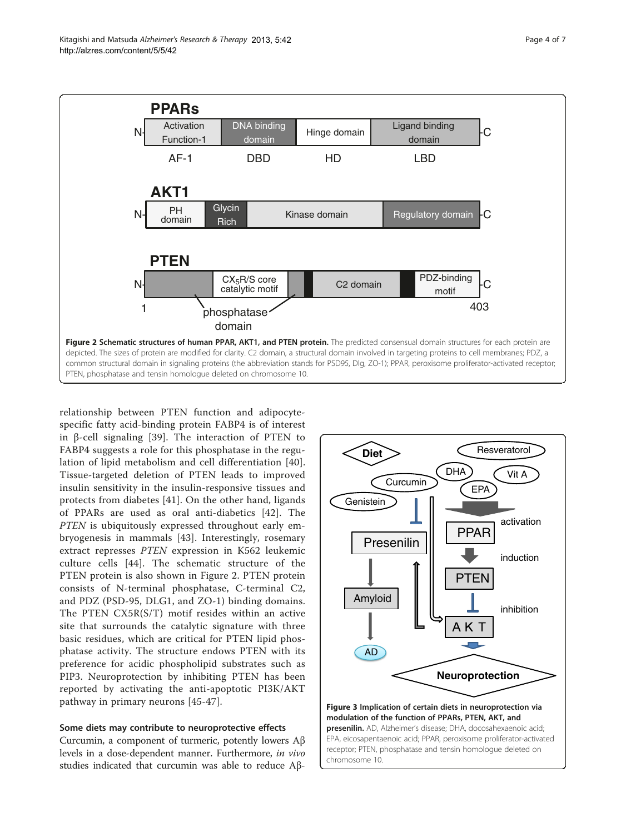<span id="page-3-0"></span>

relationship between PTEN function and adipocytespecific fatty acid-binding protein FABP4 is of interest in β-cell signaling [\[39\]](#page-5-0). The interaction of PTEN to FABP4 suggests a role for this phosphatase in the regulation of lipid metabolism and cell differentiation [[40](#page-6-0)]. Tissue-targeted deletion of PTEN leads to improved insulin sensitivity in the insulin-responsive tissues and protects from diabetes [[41](#page-6-0)]. On the other hand, ligands of PPARs are used as oral anti-diabetics [\[42](#page-6-0)]. The PTEN is ubiquitously expressed throughout early embryogenesis in mammals [[43\]](#page-6-0). Interestingly, rosemary extract represses PTEN expression in K562 leukemic culture cells [\[44](#page-6-0)]. The schematic structure of the PTEN protein is also shown in Figure 2. PTEN protein consists of N-terminal phosphatase, C-terminal C2, and PDZ (PSD-95, DLG1, and ZO-1) binding domains. The PTEN CX5R(S/T) motif resides within an active site that surrounds the catalytic signature with three basic residues, which are critical for PTEN lipid phosphatase activity. The structure endows PTEN with its preference for acidic phospholipid substrates such as PIP3. Neuroprotection by inhibiting PTEN has been reported by activating the anti-apoptotic PI3K/AKT pathway in primary neurons [\[45](#page-6-0)-[47](#page-6-0)].

### Some diets may contribute to neuroprotective effects

Curcumin, a component of turmeric, potently lowers Aβ levels in a dose-dependent manner. Furthermore, in vivo studies indicated that curcumin was able to reduce Aβ-



EPA, eicosapentaenoic acid; PPAR, peroxisome proliferator-activated receptor; PTEN, phosphatase and tensin homologue deleted on chromosome 10.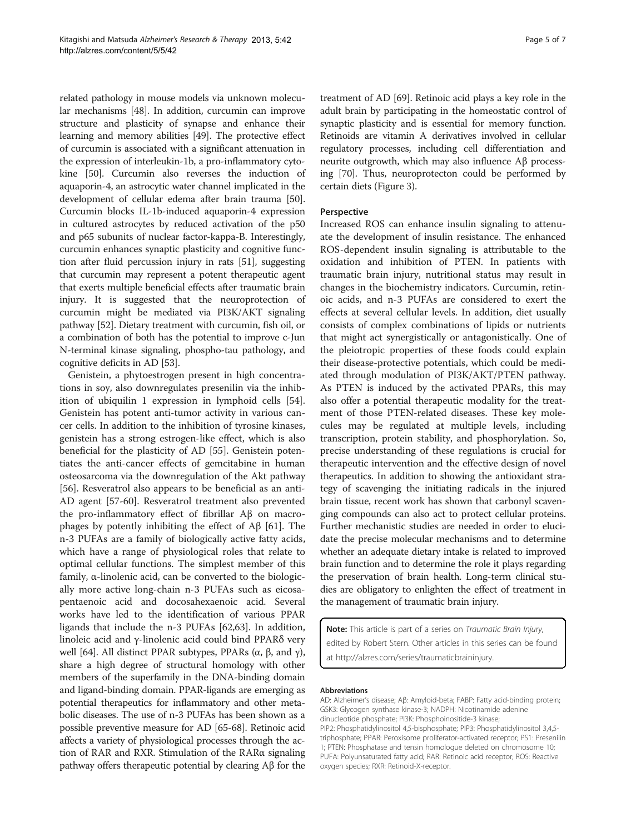related pathology in mouse models via unknown molecular mechanisms [\[48](#page-6-0)]. In addition, curcumin can improve structure and plasticity of synapse and enhance their learning and memory abilities [\[49](#page-6-0)]. The protective effect of curcumin is associated with a significant attenuation in the expression of interleukin-1b, a pro-inflammatory cytokine [\[50\]](#page-6-0). Curcumin also reverses the induction of aquaporin-4, an astrocytic water channel implicated in the development of cellular edema after brain trauma [[50](#page-6-0)]. Curcumin blocks IL-1b-induced aquaporin-4 expression in cultured astrocytes by reduced activation of the p50 and p65 subunits of nuclear factor-kappa-B. Interestingly, curcumin enhances synaptic plasticity and cognitive function after fluid percussion injury in rats [[51](#page-6-0)], suggesting that curcumin may represent a potent therapeutic agent that exerts multiple beneficial effects after traumatic brain injury. It is suggested that the neuroprotection of curcumin might be mediated via PI3K/AKT signaling pathway [[52](#page-6-0)]. Dietary treatment with curcumin, fish oil, or a combination of both has the potential to improve c-Jun N-terminal kinase signaling, phospho-tau pathology, and cognitive deficits in AD [\[53](#page-6-0)].

Genistein, a phytoestrogen present in high concentrations in soy, also downregulates presenilin via the inhibition of ubiquilin 1 expression in lymphoid cells [\[54](#page-6-0)]. Genistein has potent anti-tumor activity in various cancer cells. In addition to the inhibition of tyrosine kinases, genistein has a strong estrogen-like effect, which is also beneficial for the plasticity of AD [[55](#page-6-0)]. Genistein potentiates the anti-cancer effects of gemcitabine in human osteosarcoma via the downregulation of the Akt pathway [[56\]](#page-6-0). Resveratrol also appears to be beneficial as an anti-AD agent [\[57-60](#page-6-0)]. Resveratrol treatment also prevented the pro-inflammatory effect of fibrillar Aβ on macrophages by potently inhibiting the effect of  $Aβ$  [\[61](#page-6-0)]. The n-3 PUFAs are a family of biologically active fatty acids, which have a range of physiological roles that relate to optimal cellular functions. The simplest member of this family, α-linolenic acid, can be converted to the biologically more active long-chain n-3 PUFAs such as eicosapentaenoic acid and docosahexaenoic acid. Several works have led to the identification of various PPAR ligands that include the n-3 PUFAs [[62](#page-6-0),[63](#page-6-0)]. In addition, linoleic acid and γ-linolenic acid could bind PPARδ very well [[64](#page-6-0)]. All distinct PPAR subtypes, PPARs ( $\alpha$ , β, and γ), share a high degree of structural homology with other members of the superfamily in the DNA-binding domain and ligand-binding domain. PPAR-ligands are emerging as potential therapeutics for inflammatory and other metabolic diseases. The use of n-3 PUFAs has been shown as a possible preventive measure for AD [\[65-68](#page-6-0)]. Retinoic acid affects a variety of physiological processes through the action of RAR and RXR. Stimulation of the RARα signaling pathway offers therapeutic potential by clearing Aβ for the treatment of AD [[69](#page-6-0)]. Retinoic acid plays a key role in the adult brain by participating in the homeostatic control of synaptic plasticity and is essential for memory function. Retinoids are vitamin A derivatives involved in cellular regulatory processes, including cell differentiation and neurite outgrowth, which may also influence Aβ processing [\[70\]](#page-6-0). Thus, neuroprotecton could be performed by certain diets (Figure [3\)](#page-3-0).

## Perspective

Increased ROS can enhance insulin signaling to attenuate the development of insulin resistance. The enhanced ROS-dependent insulin signaling is attributable to the oxidation and inhibition of PTEN. In patients with traumatic brain injury, nutritional status may result in changes in the biochemistry indicators. Curcumin, retinoic acids, and n-3 PUFAs are considered to exert the effects at several cellular levels. In addition, diet usually consists of complex combinations of lipids or nutrients that might act synergistically or antagonistically. One of the pleiotropic properties of these foods could explain their disease-protective potentials, which could be mediated through modulation of PI3K/AKT/PTEN pathway. As PTEN is induced by the activated PPARs, this may also offer a potential therapeutic modality for the treatment of those PTEN-related diseases. These key molecules may be regulated at multiple levels, including transcription, protein stability, and phosphorylation. So, precise understanding of these regulations is crucial for therapeutic intervention and the effective design of novel therapeutics. In addition to showing the antioxidant strategy of scavenging the initiating radicals in the injured brain tissue, recent work has shown that carbonyl scavenging compounds can also act to protect cellular proteins. Further mechanistic studies are needed in order to elucidate the precise molecular mechanisms and to determine whether an adequate dietary intake is related to improved brain function and to determine the role it plays regarding the preservation of brain health. Long-term clinical studies are obligatory to enlighten the effect of treatment in the management of traumatic brain injury.

Note: This article is part of a series on Traumatic Brain Injury, edited by Robert Stern. Other articles in this series can be found at [http://alzres.com/series/traumaticbraininjury.](http://alzres.com/series/traumaticbraininjury)

#### Abbreviations

AD: Alzheimer's disease; Aβ: Amyloid-beta; FABP: Fatty acid-binding protein; GSK3: Glycogen synthase kinase-3; NADPH: Nicotinamide adenine dinucleotide phosphate; PI3K: Phosphoinositide-3 kinase; PIP2: Phosphatidylinositol 4,5-bisphosphate; PIP3: Phosphatidylinositol 3,4,5 triphosphate; PPAR: Peroxisome proliferator-activated receptor; PS1: Presenilin 1; PTEN: Phosphatase and tensin homologue deleted on chromosome 10; PUFA: Polyunsaturated fatty acid; RAR: Retinoic acid receptor; ROS: Reactive oxygen species; RXR: Retinoid-X-receptor.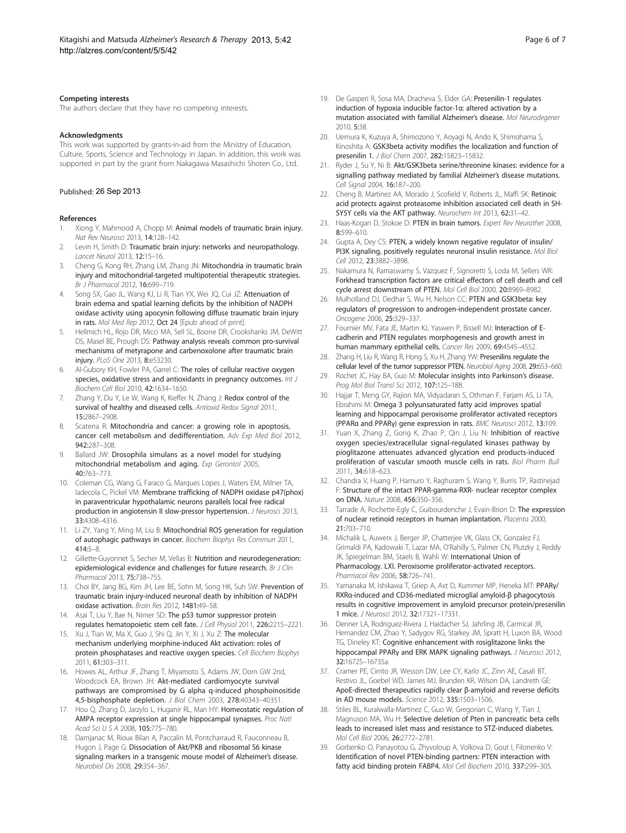#### <span id="page-5-0"></span>Competing interests

The authors declare that they have no competing interests.

#### Acknowledgments

This work was supported by grants-in-aid from the Ministry of Education, Culture, Sports, Science and Technology in Japan. In addition, this work was supported in part by the grant from Nakagawa Masashichi Shoten Co., Ltd.

#### Published: 26 Sep 2013

#### References

- 1. Xiong Y, Mahmood A, Chopp M: Animal models of traumatic brain injury. Nat Rev Neurosci 2013, 14:128–142.
- 2. Levin H, Smith D: Traumatic brain injury: networks and neuropathology. Lancet Neurol 2013, 12:15–16.
- Cheng G, Kong RH, Zhang LM, Zhang JN: Mitochondria in traumatic brain injury and mitochondrial-targeted multipotential therapeutic strategies. Br J Pharmacol 2012, 16:699–719.
- Song SX, Gao JL, Wang KJ, Li R, Tian YX, Wei JQ, Cui JZ: Attenuation of brain edema and spatial learning deficits by the inhibition of NADPH oxidase activity using apocynin following diffuse traumatic brain injury in rats. Mol Med Rep 2012, Oct 24 [Epub ahead of print].
- 5. Hellmich HL, Rojo DR, Micci MA, Sell SL, Boone DR, Crookshanks JM, DeWitt DS, Masel BE, Prough DS: Pathway analysis reveals common pro-survival mechanisms of metyrapone and carbenoxolone after traumatic brain injury. PLoS One 2013, 8:e53230.
- 6. Al-Gubory KH, Fowler PA, Garrel C: The roles of cellular reactive oxygen species, oxidative stress and antioxidants in pregnancy outcomes. Int J Biochem Cell Biol 2010, 42:1634–1650.
- 7. Zhang Y, Du Y, Le W, Wang K, Kieffer N, Zhang J: Redox control of the survival of healthy and diseased cells. Antioxid Redox Signal 2011, 15:2867–2908.
- 8. Scatena R: Mitochondria and cancer: a growing role in apoptosis, cancer cell metabolism and dedifferentiation. Adv Exp Med Biol 2012, 942:287–308.
- Ballard JW: Drosophila simulans as a novel model for studying mitochondrial metabolism and aging. Exp Gerontol 2005, 40:763–773.
- 10. Coleman CG, Wang G, Faraco G, Marques Lopes J, Waters EM, Milner TA, Iadecola C, Pickel VM: Membrane trafficking of NADPH oxidase p47(phox) in paraventricular hypothalamic neurons parallels local free radical production in angiotensin II slow-pressor hypertension. *J Neurosci* 2013, 33:4308–4316.
- 11. Li ZY, Yang Y, Ming M, Liu B: Mitochondrial ROS generation for regulation of autophagic pathways in cancer. Biochem Biophys Res Commun 2011, 414:5–8.
- 12. Gillette-Guyonnet S, Secher M, Vellas B: Nutrition and neurodegeneration: epidemiological evidence and challenges for future research. Br J Clin Pharmacol 2013, 75:738–755.
- 13. Choi BY, Jang BG, Kim JH, Lee BE, Sohn M, Song HK, Suh SW: Prevention of traumatic brain injury-induced neuronal death by inhibition of NADPH oxidase activation. Brain Res 2012, 1481:49–58.
- 14. Asai T, Liu Y, Bae N, Nimer SD: The p53 tumor suppressor protein regulates hematopoietic stem cell fate. J Cell Physiol 2011, 226:2215–2221.
- 15. Xu J, Tian W, Ma X, Guo J, Shi Q, Jin Y, Xi J, Xu Z: The molecular mechanism underlying morphine-induced Akt activation: roles of protein phosphatases and reactive oxygen species. Cell Biochem Biophys 2011, 61:303–311.
- 16. Howes AL, Arthur JF, Zhang T, Miyamoto S, Adams JW, Dorn GW 2nd, Woodcock EA, Brown JH: Akt-mediated cardiomyocyte survival pathways are compromised by G alpha q-induced phosphoinositide 4,5-bisphosphate depletion. J Biol Chem 2003, 278:40343–40351.
- 17. Hou Q, Zhang D, Jarzylo L, Huganir RL, Man HY: Homeostatic regulation of AMPA receptor expression at single hippocampal synapses. Proc Natl Acad Sci U S A 2008, 105:775–780.
- 18. Damjanac M, Rioux Bilan A, Paccalin M, Pontcharraud R, Fauconneau B, Hugon J, Page G: Dissociation of Akt/PKB and ribosomal S6 kinase signaling markers in a transgenic mouse model of Alzheimer's disease. Neurobiol Dis 2008, 29:354–367.
- 19. De Gasperi R, Sosa MA, Dracheva S, Elder GA: Presenilin-1 regulates induction of hypoxia inducible factor-1α: altered activation by a mutation associated with familial Alzheimer's disease. Mol Neurodegener 2010, 5:38.
- 20. Uemura K, Kuzuya A, Shimozono Y, Aoyagi N, Ando K, Shimohama S, Kinoshita A: GSK3beta activity modifies the localization and function of presenilin 1. J Biol Chem 2007, 282:15823–15832.
- 21. Ryder J, Su Y, Ni B: Akt/GSK3beta serine/threonine kinases: evidence for a signalling pathway mediated by familial Alzheimer's disease mutations. Cell Signal 2004, 16:187–200.
- 22. Cheng B, Martinez AA, Morado J, Scofield V, Roberts JL, Maffi SK: Retinoic acid protects against proteasome inhibition associated cell death in SH-SY5Y cells via the AKT pathway. Neurochem Int 2013, 62:31–42.
- 23. Haas-Kogan D, Stokoe D: PTEN in brain tumors. Expert Rev Neurother 2008, 8:599–610.
- 24. Gupta A, Dey CS: PTEN, a widely known negative regulator of insulin/ PI3K signaling, positively regulates neuronal insulin resistance. Mol Biol Cell 2012, 23:3882–3898.
- 25. Nakamura N, Ramaswamy S, Vazquez F, Signoretti S, Loda M, Sellers WR: Forkhead transcription factors are critical effectors of cell death and cell cycle arrest downstream of PTEN. Mol Cell Biol 2000, 20:8969–8982.
- 26. Mulholland DJ, Dedhar S, Wu H, Nelson CC: PTEN and GSK3beta: key regulators of progression to androgen-independent prostate cancer. Oncogene 2006, 25:329–337.
- 27. Fournier MV, Fata JE, Martin KJ, Yaswen P, Bissell MJ: Interaction of Ecadherin and PTEN regulates morphogenesis and growth arrest in human mammary epithelial cells. Cancer Res 2009, 69:4545–4552.
- 28. Zhang H, Liu R, Wang R, Hong S, Xu H, Zhang YW: Presenilins regulate the cellular level of the tumor suppressor PTEN. Neurobiol Aging 2008, 29:653–660.
- 29. Rochet JC, Hay BA, Guo M: Molecular insights into Parkinson's disease. Prog Mol Biol Transl Sci 2012, 107:125–188.
- 30. Hajjar T, Meng GY, Rajion MA, Vidyadaran S, Othman F, Farjam AS, Li TA, Ebrahimi M: Omega 3 polyunsaturated fatty acid improves spatial learning and hippocampal peroxisome proliferator activated receptors (PPARα and PPARγ) gene expression in rats. BMC Neurosci 2012, 13:109.
- 31. Yuan X, Zhang Z, Gong K, Zhao P, Qin J, Liu N: Inhibition of reactive oxygen species/extracellular signal-regulated kinases pathway by pioglitazone attenuates advanced glycation end products-induced proliferation of vascular smooth muscle cells in rats. Biol Pharm Bull 2011, 34:618–623.
- 32. Chandra V, Huang P, Hamuro Y, Raghuram S, Wang Y, Burris TP, Rastinejad F: Structure of the intact PPAR-gamma-RXR- nuclear receptor complex on DNA. Nature 2008, 456:350–356.
- 33. Tarrade A, Rochette-Egly C, Guibourdenche J, Evain-Brion D: The expression of nuclear retinoid receptors in human implantation. Placenta 2000, 21:703–710.
- 34. Michalik L, Auwerx J, Berger JP, Chatterjee VK, Glass CK, Gonzalez FJ, Grimaldi PA, Kadowaki T, Lazar MA, O'Rahilly S, Palmer CN, Plutzky J, Reddy JK, Spiegelman BM, Staels B, Wahli W: International Union of Pharmacology. LXI. Peroxisome proliferator-activated receptors. Pharmacol Rev 2006, 58:726–741.
- 35. Yamanaka M, Ishikawa T, Griep A, Axt D, Kummer MP, Heneka MT: PPARγ/ RXRα-induced and CD36-mediated microglial amyloid-β phagocytosis results in cognitive improvement in amyloid precursor protein/presenilin 1 mice. J Neurosci 2012, 32:17321–17331.
- 36. Denner LA, Rodriguez-Rivera J, Haidacher SJ, Jahrling JB, Carmical JR, Hernandez CM, Zhao Y, Sadygov RG, Starkey JM, Spratt H, Luxon BA, Wood TG, Dineley KT: Cognitive enhancement with rosiglitazone links the hippocampal PPARγ and ERK MAPK signaling pathways. J Neurosci 2012, 32:16725–16735a.
- 37. Cramer PE, Cirrito JR, Wesson DW, Lee CY, Karlo JC, Zinn AE, Casali BT, Restivo JL, Goebel WD, James MJ, Brunden KR, Wilson DA, Landreth GE: ApoE-directed therapeutics rapidly clear β-amyloid and reverse deficits in AD mouse models. Science 2012, 335:1503–1506.
- 38. Stiles BL, Kuralwalla-Martinez C, Guo W, Gregorian C, Wang Y, Tian J, Magnuson MA, Wu H: Selective deletion of Pten in pancreatic beta cells leads to increased islet mass and resistance to STZ-induced diabetes. Mol Cell Biol 2006, 26:2772–2781.
- 39. Gorbenko O, Panayotou G, Zhyvoloup A, Volkova D, Gout I, Filonenko V: Identification of novel PTEN-binding partners: PTEN interaction with fatty acid binding protein FABP4. Mol Cell Biochem 2010, 337:299–305.